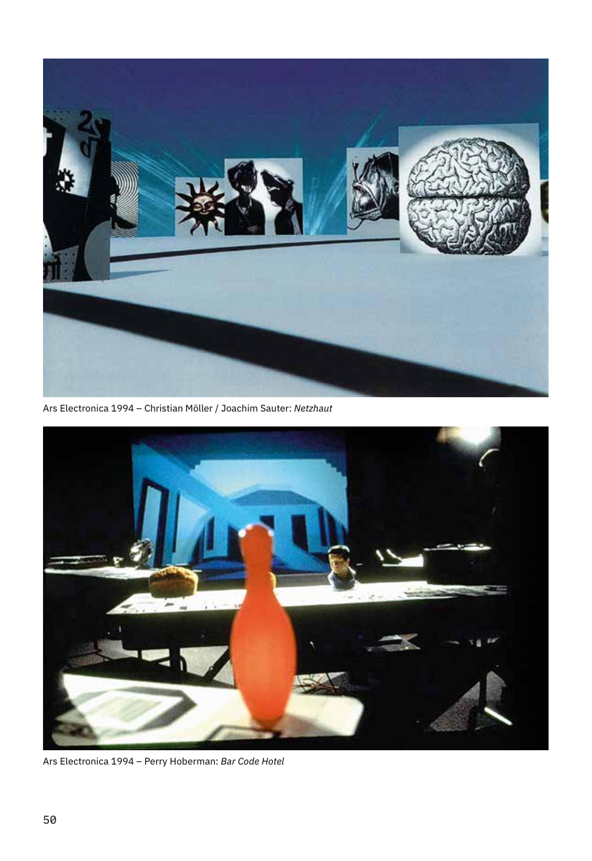

Ars Electronica 1994 – Christian Möller / Joachim Sauter: *Netzhaut*



Ars Electronica 1994 – Perry Hoberman: *Bar Code Hotel*